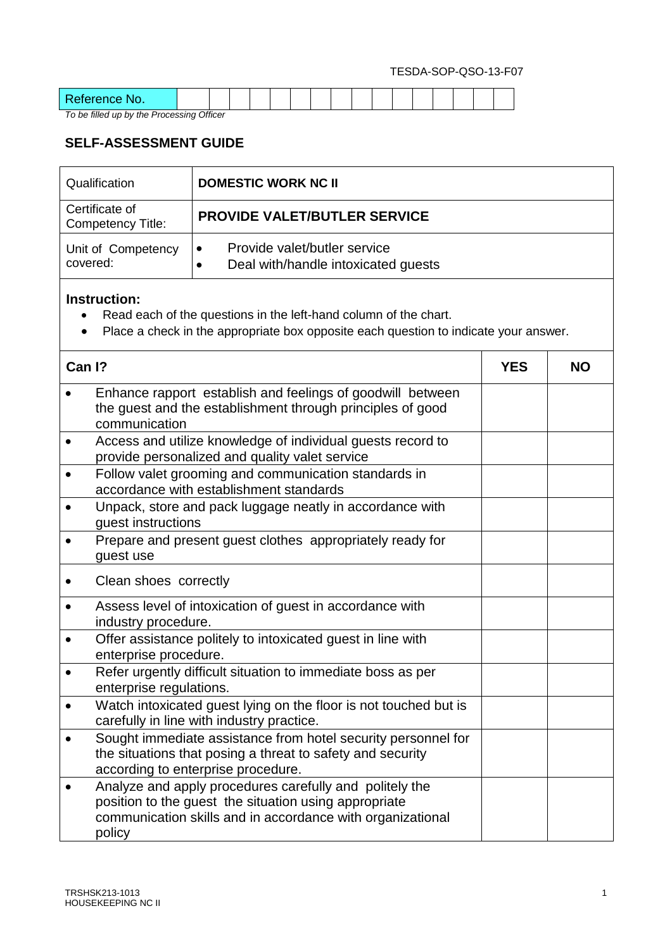| $\Delta$ |  |  |  |  |  |  |  |  |
|----------|--|--|--|--|--|--|--|--|
| .        |  |  |  |  |  |  |  |  |

*To be filled up by the Processing Officer*

l

## **SELF-ASSESSMENT GUIDE**

|          | Qualification                                                                                   | <b>DOMESTIC WORK NC II</b>                                                                                                                                                     |            |           |
|----------|-------------------------------------------------------------------------------------------------|--------------------------------------------------------------------------------------------------------------------------------------------------------------------------------|------------|-----------|
|          | Certificate of<br><b>Competency Title:</b>                                                      | <b>PROVIDE VALET/BUTLER SERVICE</b>                                                                                                                                            |            |           |
| covered: | Unit of Competency                                                                              | Provide valet/butler service<br>Deal with/handle intoxicated guests                                                                                                            |            |           |
|          | <b>Instruction:</b>                                                                             | Read each of the questions in the left-hand column of the chart.<br>Place a check in the appropriate box opposite each question to indicate your answer.                       |            |           |
| Can I?   |                                                                                                 |                                                                                                                                                                                | <b>YES</b> | <b>NO</b> |
|          | communication                                                                                   | Enhance rapport establish and feelings of goodwill between<br>the guest and the establishment through principles of good                                                       |            |           |
|          |                                                                                                 | Access and utilize knowledge of individual guests record to<br>provide personalized and quality valet service                                                                  |            |           |
|          | Follow valet grooming and communication standards in<br>accordance with establishment standards |                                                                                                                                                                                |            |           |
|          | guest instructions                                                                              | Unpack, store and pack luggage neatly in accordance with                                                                                                                       |            |           |
|          | guest use                                                                                       | Prepare and present guest clothes appropriately ready for                                                                                                                      |            |           |
|          | Clean shoes correctly                                                                           |                                                                                                                                                                                |            |           |
|          | industry procedure.                                                                             | Assess level of intoxication of guest in accordance with                                                                                                                       |            |           |
|          | enterprise procedure.                                                                           | Offer assistance politely to intoxicated guest in line with                                                                                                                    |            |           |
|          | enterprise regulations.                                                                         | Refer urgently difficult situation to immediate boss as per                                                                                                                    |            |           |
|          |                                                                                                 | Watch intoxicated guest lying on the floor is not touched but is<br>carefully in line with industry practice.                                                                  |            |           |
|          |                                                                                                 | Sought immediate assistance from hotel security personnel for<br>the situations that posing a threat to safety and security<br>according to enterprise procedure.              |            |           |
|          | policy                                                                                          | Analyze and apply procedures carefully and politely the<br>position to the guest the situation using appropriate<br>communication skills and in accordance with organizational |            |           |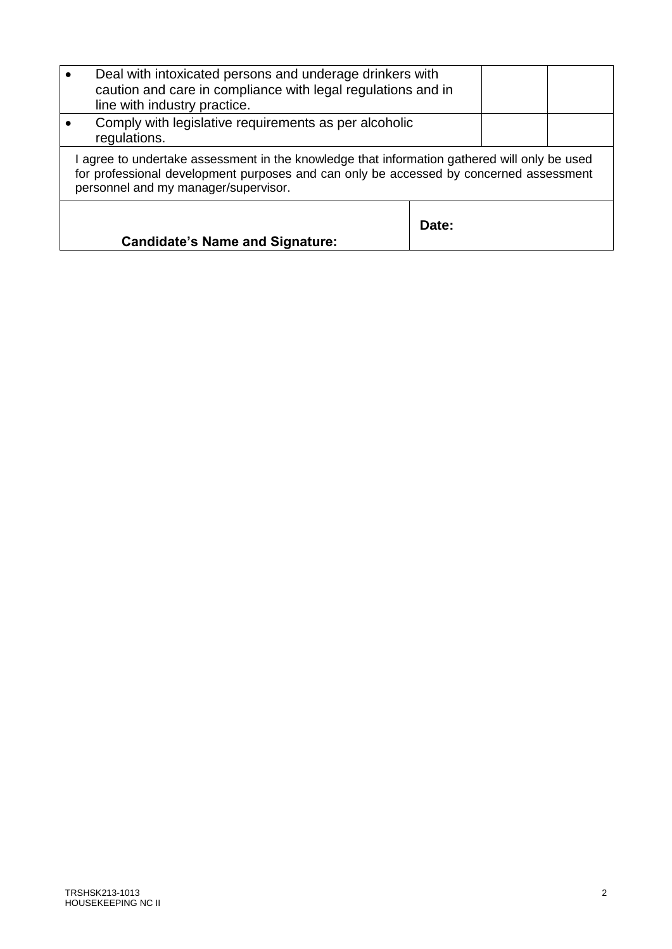| Deal with intoxicated persons and underage drinkers with<br>caution and care in compliance with legal regulations and in<br>line with industry practice.                                                                     |       |  |
|------------------------------------------------------------------------------------------------------------------------------------------------------------------------------------------------------------------------------|-------|--|
| Comply with legislative requirements as per alcoholic<br>regulations.                                                                                                                                                        |       |  |
| agree to undertake assessment in the knowledge that information gathered will only be used<br>for professional development purposes and can only be accessed by concerned assessment<br>personnel and my manager/supervisor. |       |  |
| <b>Candidate's Name and Signature:</b>                                                                                                                                                                                       | Date: |  |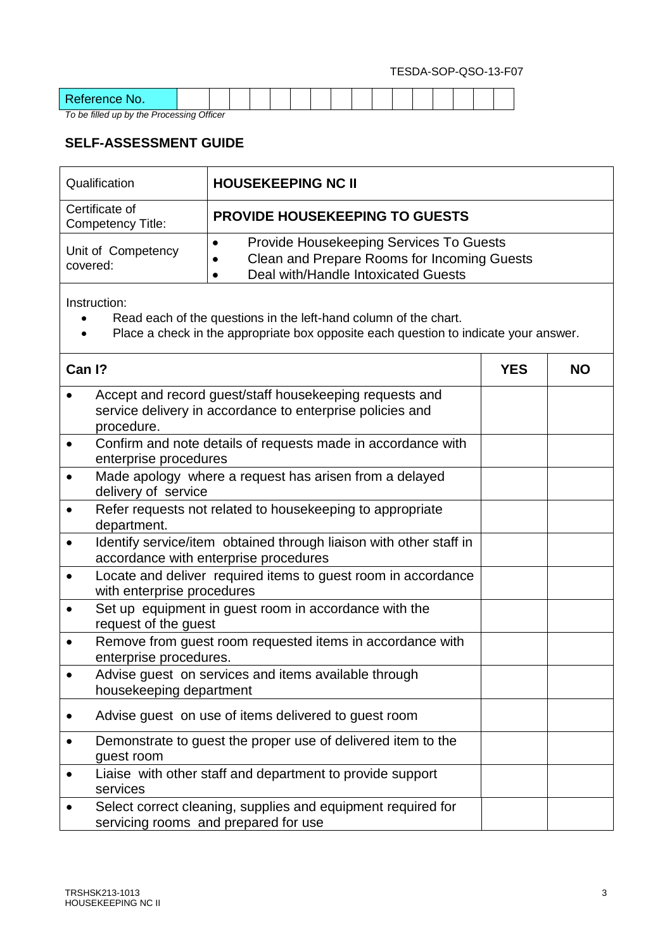| Deference<br>.<br><u>.</u> |  |  |  |  |  |  |  |  |
|----------------------------|--|--|--|--|--|--|--|--|

*To be filled up by the Processing Officer*

## **SELF-ASSESSMENT GUIDE**

|           | Qualification                       | <b>HOUSEKEEPING NC II</b>                                                                                                                                |            |           |
|-----------|-------------------------------------|----------------------------------------------------------------------------------------------------------------------------------------------------------|------------|-----------|
|           | Certificate of<br>Competency Title: | <b>PROVIDE HOUSEKEEPING TO GUESTS</b>                                                                                                                    |            |           |
| covered:  | Unit of Competency                  | Provide Housekeeping Services To Guests<br>$\bullet$<br>Clean and Prepare Rooms for Incoming Guests<br>Deal with/Handle Intoxicated Guests<br>$\bullet$  |            |           |
|           | Instruction:                        | Read each of the questions in the left-hand column of the chart.<br>Place a check in the appropriate box opposite each question to indicate your answer. |            |           |
| Can I?    |                                     |                                                                                                                                                          | <b>YES</b> | <b>NO</b> |
|           | procedure.                          | Accept and record guest/staff housekeeping requests and<br>service delivery in accordance to enterprise policies and                                     |            |           |
| $\bullet$ | enterprise procedures               | Confirm and note details of requests made in accordance with                                                                                             |            |           |
| $\bullet$ | delivery of service                 | Made apology where a request has arisen from a delayed                                                                                                   |            |           |
|           | department.                         | Refer requests not related to housekeeping to appropriate                                                                                                |            |           |
|           |                                     | Identify service/item obtained through liaison with other staff in<br>accordance with enterprise procedures                                              |            |           |
|           | with enterprise procedures          | Locate and deliver required items to guest room in accordance                                                                                            |            |           |
| $\bullet$ | request of the guest                | Set up equipment in guest room in accordance with the                                                                                                    |            |           |
|           | enterprise procedures.              | Remove from guest room requested items in accordance with                                                                                                |            |           |
|           | housekeeping department             | Advise guest on services and items available through                                                                                                     |            |           |
|           |                                     | Advise guest on use of items delivered to guest room                                                                                                     |            |           |
|           | guest room                          | Demonstrate to guest the proper use of delivered item to the                                                                                             |            |           |
|           | services                            | Liaise with other staff and department to provide support                                                                                                |            |           |
|           |                                     | Select correct cleaning, supplies and equipment required for<br>servicing rooms and prepared for use                                                     |            |           |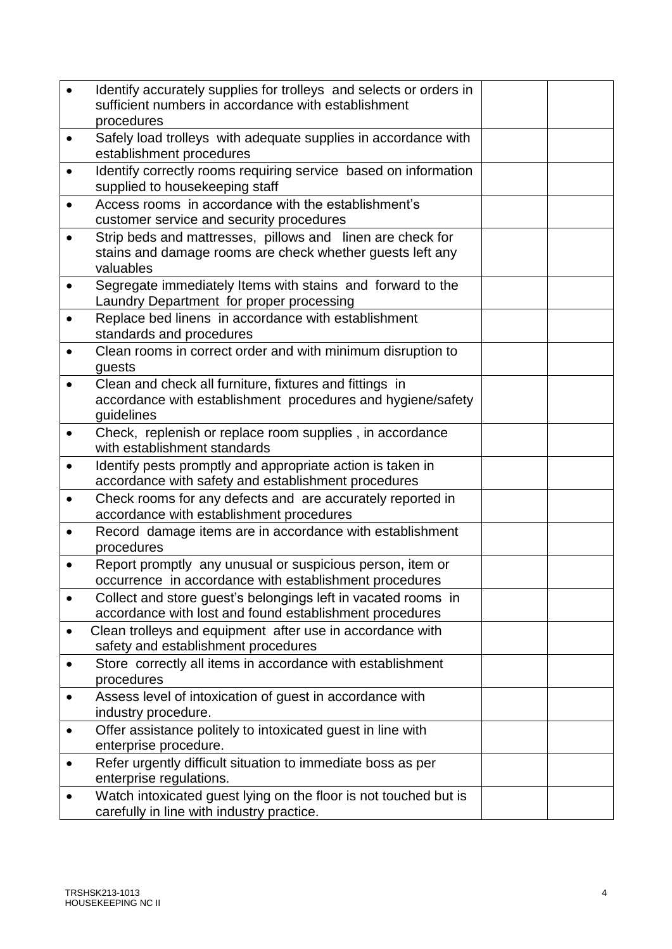|           | Identify accurately supplies for trolleys and selects or orders in                                     |  |
|-----------|--------------------------------------------------------------------------------------------------------|--|
|           | sufficient numbers in accordance with establishment                                                    |  |
|           | procedures                                                                                             |  |
| $\bullet$ | Safely load trolleys with adequate supplies in accordance with<br>establishment procedures             |  |
| $\bullet$ | Identify correctly rooms requiring service based on information                                        |  |
|           | supplied to housekeeping staff                                                                         |  |
| $\bullet$ | Access rooms in accordance with the establishment's                                                    |  |
|           | customer service and security procedures                                                               |  |
| $\bullet$ | Strip beds and mattresses, pillows and linen are check for                                             |  |
|           | stains and damage rooms are check whether guests left any                                              |  |
|           | valuables                                                                                              |  |
| $\bullet$ | Segregate immediately Items with stains and forward to the<br>Laundry Department for proper processing |  |
|           | Replace bed linens in accordance with establishment                                                    |  |
|           | standards and procedures                                                                               |  |
| $\bullet$ | Clean rooms in correct order and with minimum disruption to                                            |  |
|           | quests                                                                                                 |  |
|           | Clean and check all furniture, fixtures and fittings in                                                |  |
|           | accordance with establishment procedures and hygiene/safety                                            |  |
|           | guidelines<br>Check, replenish or replace room supplies, in accordance                                 |  |
| $\bullet$ | with establishment standards                                                                           |  |
|           | Identify pests promptly and appropriate action is taken in                                             |  |
|           | accordance with safety and establishment procedures                                                    |  |
| $\bullet$ | Check rooms for any defects and are accurately reported in                                             |  |
|           | accordance with establishment procedures                                                               |  |
| $\bullet$ | Record damage items are in accordance with establishment<br>procedures                                 |  |
|           | Report promptly any unusual or suspicious person, item or                                              |  |
|           | occurrence in accordance with establishment procedures                                                 |  |
|           | Collect and store guest's belongings left in vacated rooms in                                          |  |
|           | accordance with lost and found establishment procedures                                                |  |
| $\bullet$ | Clean trolleys and equipment after use in accordance with                                              |  |
|           | safety and establishment procedures                                                                    |  |
| $\bullet$ | Store correctly all items in accordance with establishment<br>procedures                               |  |
|           | Assess level of intoxication of guest in accordance with                                               |  |
|           | industry procedure.                                                                                    |  |
| $\bullet$ | Offer assistance politely to intoxicated guest in line with                                            |  |
|           | enterprise procedure.                                                                                  |  |
|           | Refer urgently difficult situation to immediate boss as per                                            |  |
|           | enterprise regulations.                                                                                |  |
|           | Watch intoxicated guest lying on the floor is not touched but is                                       |  |
|           | carefully in line with industry practice.                                                              |  |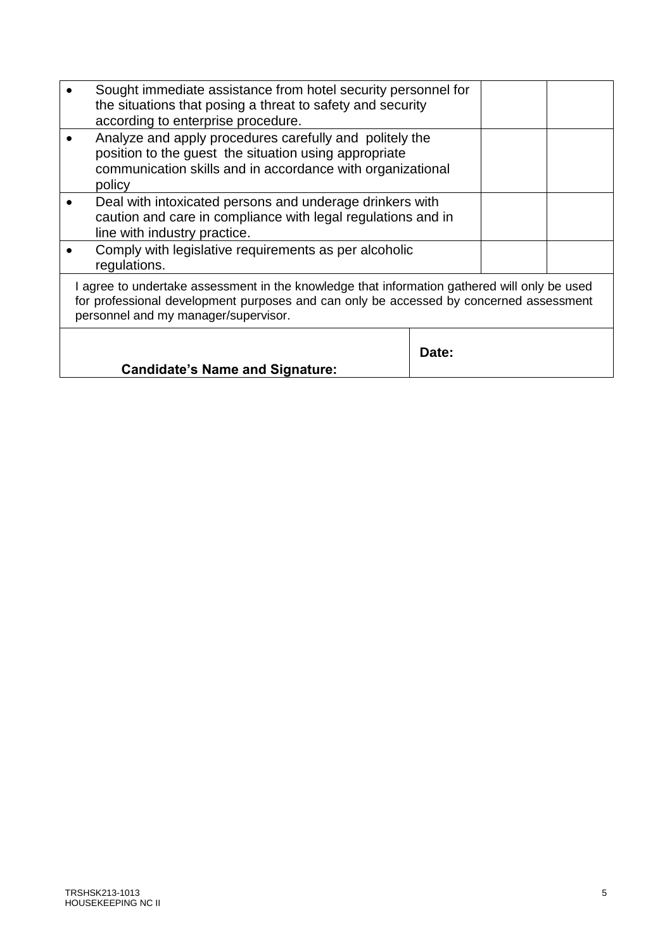| Sought immediate assistance from hotel security personnel for<br>the situations that posing a threat to safety and security<br>according to enterprise procedure.                                                              |       |  |
|--------------------------------------------------------------------------------------------------------------------------------------------------------------------------------------------------------------------------------|-------|--|
| Analyze and apply procedures carefully and politely the<br>position to the guest the situation using appropriate<br>communication skills and in accordance with organizational<br>policy                                       |       |  |
| Deal with intoxicated persons and underage drinkers with<br>caution and care in compliance with legal regulations and in<br>line with industry practice.                                                                       |       |  |
| Comply with legislative requirements as per alcoholic<br>regulations.                                                                                                                                                          |       |  |
| I agree to undertake assessment in the knowledge that information gathered will only be used<br>for professional development purposes and can only be accessed by concerned assessment<br>personnel and my manager/supervisor. |       |  |
| <b>Candidate's Name and Signature:</b>                                                                                                                                                                                         | Date: |  |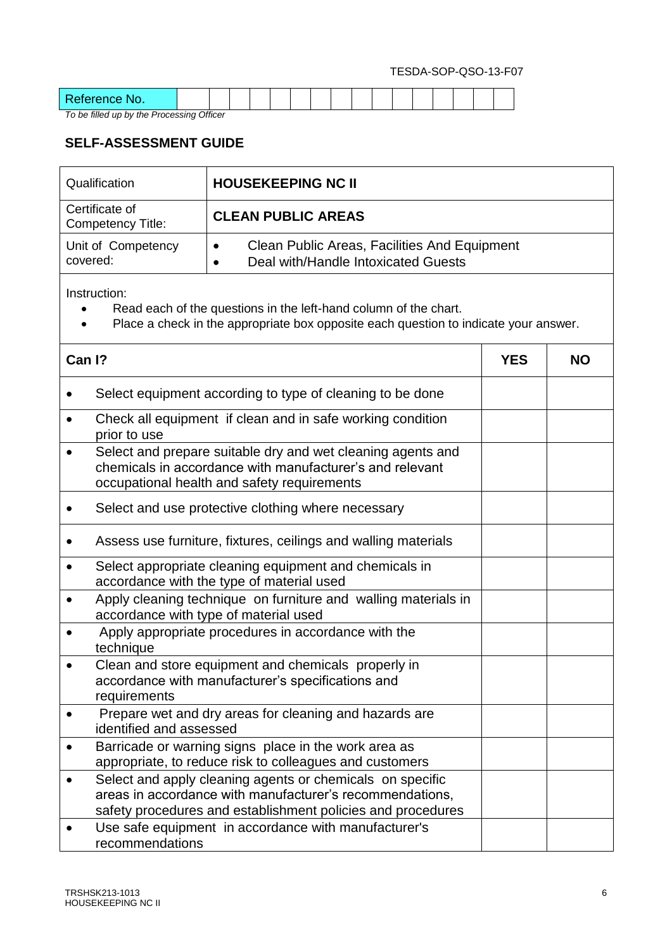| $\mathbf{D}$<br>-------- |  |  |  |  |  |  |  |  |
|--------------------------|--|--|--|--|--|--|--|--|

*To be filled up by the Processing Officer*

## **SELF-ASSESSMENT GUIDE**

| Qualification                       | <b>HOUSEKEEPING NC II</b>                                                                                     |
|-------------------------------------|---------------------------------------------------------------------------------------------------------------|
| Certificate of<br>Competency Title: | <b>CLEAN PUBLIC AREAS</b>                                                                                     |
| Unit of Competency<br>covered:      | Clean Public Areas, Facilities And Equipment<br>$\bullet$<br>Deal with/Handle Intoxicated Guests<br>$\bullet$ |

Instruction:

- Read each of the questions in the left-hand column of the chart.
- Place a check in the appropriate box opposite each question to indicate your answer.

| Can I?    |                                                                                                                                                                                      | <b>YES</b> | <b>NO</b> |
|-----------|--------------------------------------------------------------------------------------------------------------------------------------------------------------------------------------|------------|-----------|
|           | Select equipment according to type of cleaning to be done                                                                                                                            |            |           |
|           | Check all equipment if clean and in safe working condition<br>prior to use                                                                                                           |            |           |
|           | Select and prepare suitable dry and wet cleaning agents and<br>chemicals in accordance with manufacturer's and relevant<br>occupational health and safety requirements               |            |           |
|           | Select and use protective clothing where necessary                                                                                                                                   |            |           |
|           | Assess use furniture, fixtures, ceilings and walling materials                                                                                                                       |            |           |
|           | Select appropriate cleaning equipment and chemicals in<br>accordance with the type of material used                                                                                  |            |           |
|           | Apply cleaning technique on furniture and walling materials in<br>accordance with type of material used                                                                              |            |           |
|           | Apply appropriate procedures in accordance with the<br>technique                                                                                                                     |            |           |
|           | Clean and store equipment and chemicals properly in<br>accordance with manufacturer's specifications and<br>requirements                                                             |            |           |
|           | Prepare wet and dry areas for cleaning and hazards are<br>identified and assessed                                                                                                    |            |           |
| $\bullet$ | Barricade or warning signs place in the work area as<br>appropriate, to reduce risk to colleagues and customers                                                                      |            |           |
| $\bullet$ | Select and apply cleaning agents or chemicals on specific<br>areas in accordance with manufacturer's recommendations,<br>safety procedures and establishment policies and procedures |            |           |
|           | Use safe equipment in accordance with manufacturer's<br>recommendations                                                                                                              |            |           |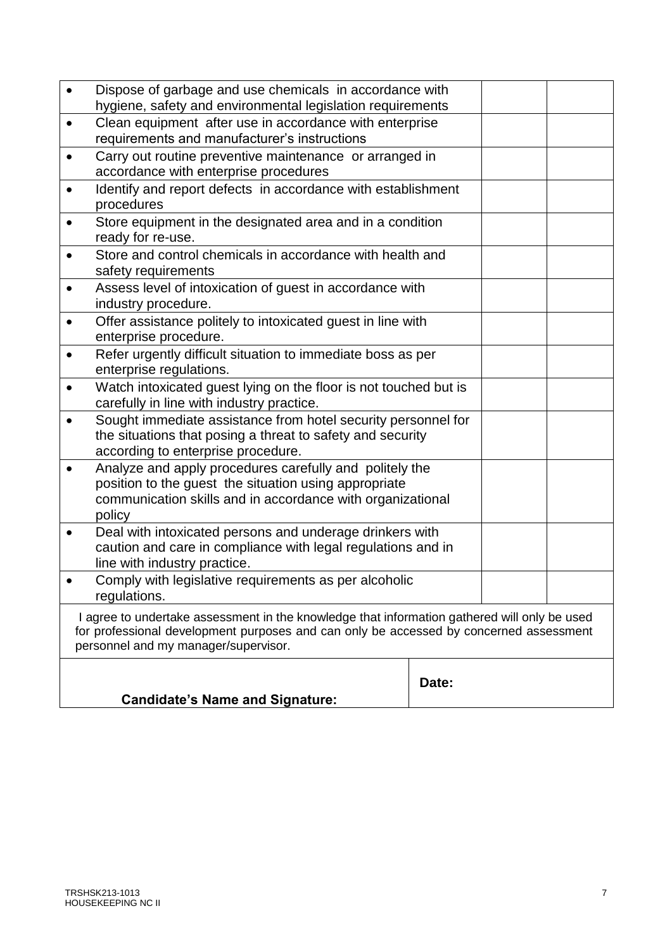|           | Dispose of garbage and use chemicals in accordance with<br>hygiene, safety and environmental legislation requirements                                                                                                          |       |  |
|-----------|--------------------------------------------------------------------------------------------------------------------------------------------------------------------------------------------------------------------------------|-------|--|
| $\bullet$ | Clean equipment after use in accordance with enterprise<br>requirements and manufacturer's instructions                                                                                                                        |       |  |
| $\bullet$ | Carry out routine preventive maintenance or arranged in<br>accordance with enterprise procedures                                                                                                                               |       |  |
|           | Identify and report defects in accordance with establishment<br>procedures                                                                                                                                                     |       |  |
| ٠         | Store equipment in the designated area and in a condition<br>ready for re-use.                                                                                                                                                 |       |  |
| $\bullet$ | Store and control chemicals in accordance with health and<br>safety requirements                                                                                                                                               |       |  |
|           | Assess level of intoxication of guest in accordance with<br>industry procedure.                                                                                                                                                |       |  |
| $\bullet$ | Offer assistance politely to intoxicated guest in line with<br>enterprise procedure.                                                                                                                                           |       |  |
|           | Refer urgently difficult situation to immediate boss as per<br>enterprise regulations.                                                                                                                                         |       |  |
| $\bullet$ | Watch intoxicated guest lying on the floor is not touched but is<br>carefully in line with industry practice.                                                                                                                  |       |  |
|           | Sought immediate assistance from hotel security personnel for<br>the situations that posing a threat to safety and security<br>according to enterprise procedure.                                                              |       |  |
| $\bullet$ | Analyze and apply procedures carefully and politely the<br>position to the guest the situation using appropriate<br>communication skills and in accordance with organizational<br>policy                                       |       |  |
| $\bullet$ | Deal with intoxicated persons and underage drinkers with<br>caution and care in compliance with legal regulations and in<br>line with industry practice.                                                                       |       |  |
|           | Comply with legislative requirements as per alcoholic<br>regulations.                                                                                                                                                          |       |  |
|           | I agree to undertake assessment in the knowledge that information gathered will only be used<br>for professional development purposes and can only be accessed by concerned assessment<br>personnel and my manager/supervisor. |       |  |
|           | <b>Candidate's Name and Signature:</b>                                                                                                                                                                                         | Date: |  |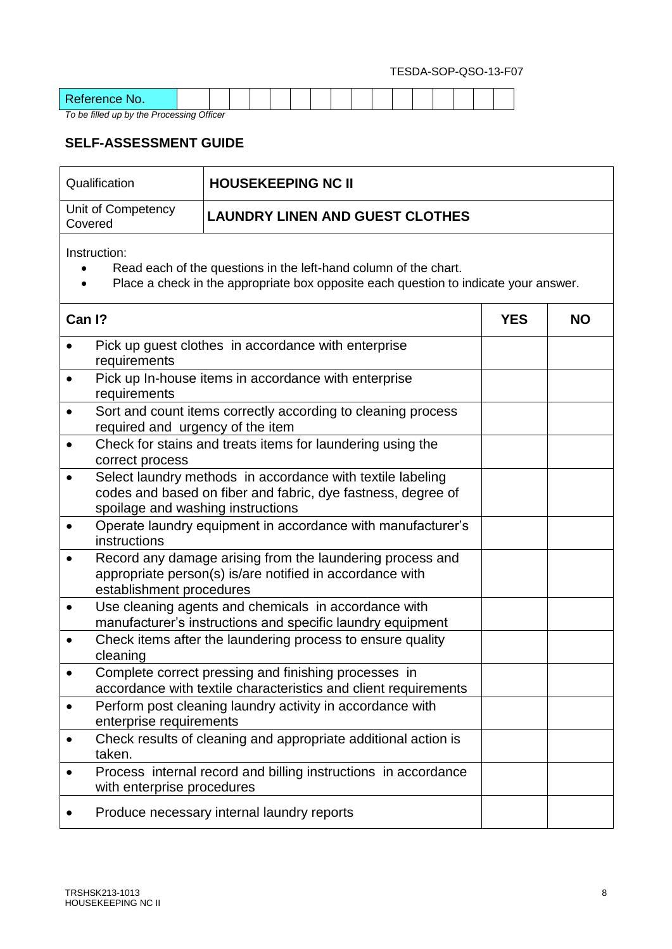| $\sim$<br>$\sim$<br>-------<br>w.<br>----- |  |  |  |  |  |  |  |  |
|--------------------------------------------|--|--|--|--|--|--|--|--|

*To be filled up by the Processing Officer*

l

## **SELF-ASSESSMENT GUIDE**

| <b>HOUSEKEEPING NC II</b><br>Qualification                                                                                                                                   |                                                                |  |           |  |  |
|------------------------------------------------------------------------------------------------------------------------------------------------------------------------------|----------------------------------------------------------------|--|-----------|--|--|
| Unit of Competency<br>Covered                                                                                                                                                | <b>LAUNDRY LINEN AND GUEST CLOTHES</b>                         |  |           |  |  |
| Instruction:<br>Read each of the questions in the left-hand column of the chart.<br>Place a check in the appropriate box opposite each question to indicate your answer.     |                                                                |  |           |  |  |
| Can I?                                                                                                                                                                       |                                                                |  | <b>NO</b> |  |  |
| Pick up guest clothes in accordance with enterprise<br>requirements                                                                                                          |                                                                |  |           |  |  |
| Pick up In-house items in accordance with enterprise<br>requirements                                                                                                         |                                                                |  |           |  |  |
| Sort and count items correctly according to cleaning process<br>$\bullet$<br>required and urgency of the item                                                                |                                                                |  |           |  |  |
| Check for stains and treats items for laundering using the<br>$\bullet$<br>correct process                                                                                   |                                                                |  |           |  |  |
| Select laundry methods in accordance with textile labeling<br>$\bullet$<br>codes and based on fiber and fabric, dye fastness, degree of<br>spoilage and washing instructions |                                                                |  |           |  |  |
| Operate laundry equipment in accordance with manufacturer's<br>$\bullet$<br>instructions                                                                                     |                                                                |  |           |  |  |
| Record any damage arising from the laundering process and<br>appropriate person(s) is/are notified in accordance with<br>establishment procedures                            |                                                                |  |           |  |  |
| Use cleaning agents and chemicals in accordance with<br>$\bullet$<br>manufacturer's instructions and specific laundry equipment                                              |                                                                |  |           |  |  |
| Check items after the laundering process to ensure quality<br>cleaning                                                                                                       |                                                                |  |           |  |  |
| Complete correct pressing and finishing processes in<br>$\bullet$<br>accordance with textile characteristics and client requirements                                         |                                                                |  |           |  |  |
| $\bullet$<br>enterprise requirements                                                                                                                                         | Perform post cleaning laundry activity in accordance with      |  |           |  |  |
| $\bullet$<br>taken.                                                                                                                                                          | Check results of cleaning and appropriate additional action is |  |           |  |  |
| $\bullet$<br>with enterprise procedures                                                                                                                                      | Process internal record and billing instructions in accordance |  |           |  |  |
|                                                                                                                                                                              | Produce necessary internal laundry reports                     |  |           |  |  |